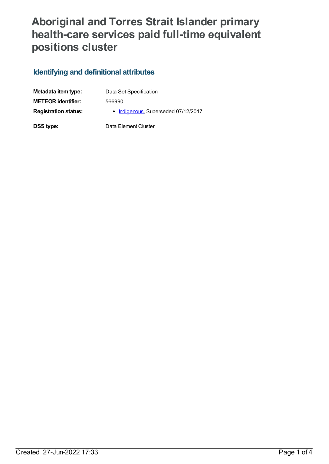## **Aboriginal and Torres Strait Islander primary health-care services paid full-time equivalent positions cluster**

## **Identifying and definitional attributes**

| Metadata item type:         | Data Set Specification              |
|-----------------------------|-------------------------------------|
| <b>METEOR identifier:</b>   | 566990                              |
| <b>Registration status:</b> | • Indigenous, Superseded 07/12/2017 |
| <b>DSS type:</b>            | Data Element Cluster                |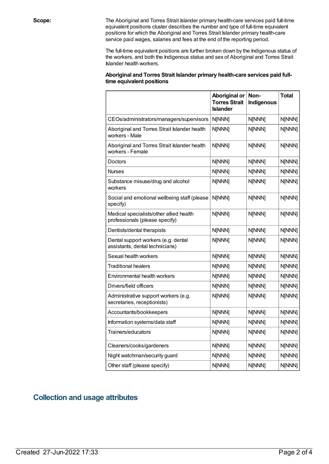**Scope:** The Aboriginal and Torres Strait Islander primary health-care services paid full-time equivalent positions cluster describes the number and type of full-time equivalent positions for which the Aboriginal and Torres Strait Islander primary health-care service paid wages, salaries and fees at the end of the reporting period.

> The full-time equivalent positions are further broken down by the Indigenous status of the workers, and both the Indigenous status and sex of Aboriginal and Torres Strait Islander health workers.

| Aboriginal and Torres Strait Islander primary health-care services paid full- |  |
|-------------------------------------------------------------------------------|--|
| time equivalent positions                                                     |  |

|                                                                           | <b>Aboriginal or</b><br><b>Torres Strait</b><br><b>Islander</b> | Non-<br>Indigenous | <b>Total</b> |
|---------------------------------------------------------------------------|-----------------------------------------------------------------|--------------------|--------------|
| CEOs/administrators/managers/supervisors                                  | N[NNN]                                                          | N[NNN]             | N[NNN]       |
| Aboriginal and Torres Strait Islander health<br>workers - Male            | N[NNN]                                                          | N[NNN]             | N[NNN]       |
| Aboriginal and Torres Strait Islander health<br>workers - Female          | N[NNN]                                                          | N[NNN]             | N[NNN]       |
| Doctors                                                                   | N[NNN]                                                          | N[NNN]             | N[NNN]       |
| Nurses                                                                    | N[NNN]                                                          | N[NNN]             | N[NNN]       |
| Substance misuse/drug and alcohol<br>workers                              | N[NNN]                                                          | N[NNN]             | N[NNN]       |
| Social and emotional wellbeing staff (please<br>specify)                  | N[NNN]                                                          | N[NNN]             | N[NNN]       |
| Medical specialists/other allied health<br>professionals (please specify) | N[NNN]                                                          | N[NNN]             | N[NNN]       |
| Dentists/dental therapists                                                | N[NNN]                                                          | N[NNN]             | N[NNN]       |
| Dental support workers (e.g. dental<br>assistants, dental technicians)    | N[NNN]                                                          | N[NNN]             | N[NNN]       |
| Sexual health workers                                                     | N[NNN]                                                          | N[NNN]             | N[NNN]       |
| <b>Traditional healers</b>                                                | N[NNN]                                                          | N[NNN]             | N[NNN]       |
| Environmental health workers                                              | N[NNN]                                                          | N[NNN]             | N[NNN]       |
| Drivers/field officers                                                    | N[NNN]                                                          | N[NNN]             | N[NNN]       |
| Administrative support workers (e.g.<br>secretaries, receptionists)       | N[NNN]                                                          | N[NNN]             | N[NNN]       |
| Accountants/bookkeepers                                                   | N[NNN]                                                          | N[NNN]             | N[NNN]       |
| Information systems/data staff                                            | N[NNN]                                                          | N[NNN]             | N[NNN]       |
| Trainers/educators                                                        | N[NNN]                                                          | N[NNN]             | N[NNN]       |
| Cleaners/cooks/gardeners                                                  | N[NNN]                                                          | N[NNN]             | N[NNN]       |
| Night watchman/security guard                                             | N[NNN]                                                          | N[NNN]             | N[NNN]       |
| Other staff (please specify)                                              | N[NNN]                                                          | N[NNN]             | N[NNN]       |

## **Collection and usage attributes**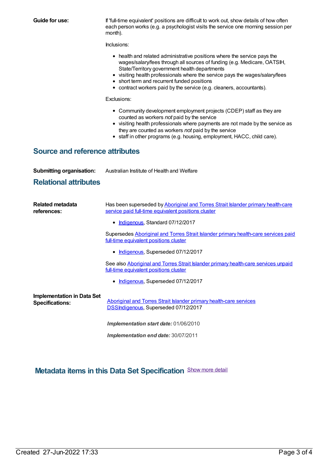| <b>Guide for use:</b>                                       | If 'full-time equivalent' positions are difficult to work out, show details of how often<br>each person works (e.g. a psychologist visits the service one morning session per<br>month).                                                                                                                                                                                                                     |  |  |  |  |
|-------------------------------------------------------------|--------------------------------------------------------------------------------------------------------------------------------------------------------------------------------------------------------------------------------------------------------------------------------------------------------------------------------------------------------------------------------------------------------------|--|--|--|--|
|                                                             | Inclusions:                                                                                                                                                                                                                                                                                                                                                                                                  |  |  |  |  |
|                                                             | • health and related administrative positions where the service pays the<br>wages/salary/fees through all sources of funding (e.g. Medicare, OATSIH,<br>State/Territory government health departments<br>• visiting health professionals where the service pays the wages/salary/fees<br>• short term and recurrent funded positions<br>• contract workers paid by the service (e.g. cleaners, accountants). |  |  |  |  |
|                                                             | Exclusions:                                                                                                                                                                                                                                                                                                                                                                                                  |  |  |  |  |
|                                                             | • Community development employment projects (CDEP) staff as they are<br>counted as workers not paid by the service<br>• visiting health professionals where payments are not made by the service as<br>they are counted as workers not paid by the service<br>• staff in other programs (e.g. housing, employment, HACC, child care).                                                                        |  |  |  |  |
| <b>Source and reference attributes</b>                      |                                                                                                                                                                                                                                                                                                                                                                                                              |  |  |  |  |
| <b>Submitting organisation:</b>                             | Australian Institute of Health and Welfare                                                                                                                                                                                                                                                                                                                                                                   |  |  |  |  |
| <b>Relational attributes</b>                                |                                                                                                                                                                                                                                                                                                                                                                                                              |  |  |  |  |
| <b>Related metadata</b><br>references:                      | Has been superseded by Aboriginal and Torres Strait Islander primary health-care<br>service paid full-time equivalent positions cluster                                                                                                                                                                                                                                                                      |  |  |  |  |
|                                                             | Indigenous, Standard 07/12/2017                                                                                                                                                                                                                                                                                                                                                                              |  |  |  |  |
|                                                             | Supersedes Aboriginal and Torres Strait Islander primary health-care services paid<br>full-time equivalent positions cluster                                                                                                                                                                                                                                                                                 |  |  |  |  |
|                                                             | • Indigenous, Superseded 07/12/2017                                                                                                                                                                                                                                                                                                                                                                          |  |  |  |  |
|                                                             | See also Aboriginal and Torres Strait Islander primary health-care services unpaid<br>full-time equivalent positions cluster                                                                                                                                                                                                                                                                                 |  |  |  |  |
|                                                             | • Indigenous, Superseded 07/12/2017                                                                                                                                                                                                                                                                                                                                                                          |  |  |  |  |
| <b>Implementation in Data Set</b><br><b>Specifications:</b> | Aboriginal and Torres Strait Islander primary health-care services<br><b>DSSIndigenous, Superseded 07/12/2017</b>                                                                                                                                                                                                                                                                                            |  |  |  |  |
|                                                             | Implementation start date: 01/06/2010                                                                                                                                                                                                                                                                                                                                                                        |  |  |  |  |
|                                                             | Implementation end date: 30/07/2011                                                                                                                                                                                                                                                                                                                                                                          |  |  |  |  |

**Metadata items in this Data Set Specification** Show more detail